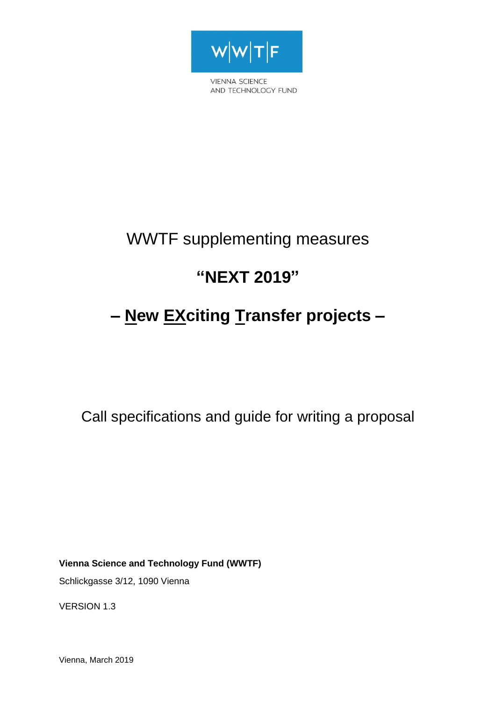

**VIENNA SCIENCE** AND TECHNOLOGY FUND

# WWTF supplementing measures

# **"NEXT 2019"**

# **– New EXciting Transfer projects –**

Call specifications and guide for writing a proposal

**Vienna Science and Technology Fund (WWTF)**

Schlickgasse 3/12, 1090 Vienna

VERSION 1.3

Vienna, March 2019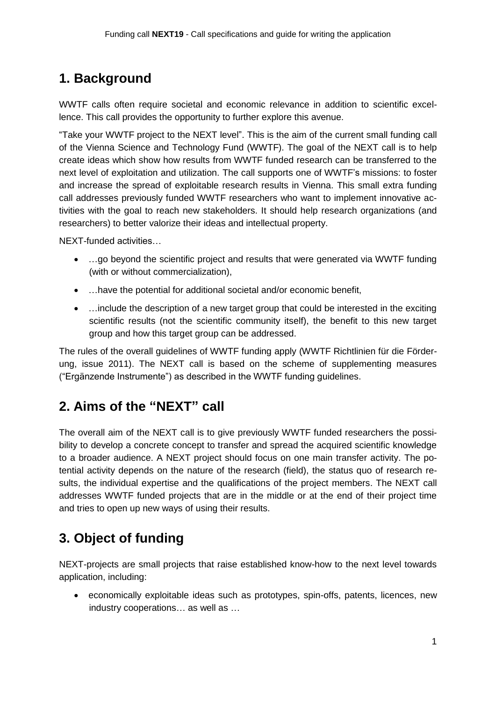## **1. Background**

WWTF calls often require societal and economic relevance in addition to scientific excellence. This call provides the opportunity to further explore this avenue.

"Take your WWTF project to the NEXT level". This is the aim of the current small funding call of the Vienna Science and Technology Fund (WWTF). The goal of the NEXT call is to help create ideas which show how results from WWTF funded research can be transferred to the next level of exploitation and utilization. The call supports one of WWTF's missions: to foster and increase the spread of exploitable research results in Vienna. This small extra funding call addresses previously funded WWTF researchers who want to implement innovative activities with the goal to reach new stakeholders. It should help research organizations (and researchers) to better valorize their ideas and intellectual property.

NEXT-funded activities…

- ...go beyond the scientific project and results that were generated via WWTF funding (with or without commercialization),
- …have the potential for additional societal and/or economic benefit,
- ... include the description of a new target group that could be interested in the exciting scientific results (not the scientific community itself), the benefit to this new target group and how this target group can be addressed.

The rules of the overall guidelines of WWTF funding apply (WWTF Richtlinien für die Förderung, issue 2011). The NEXT call is based on the scheme of supplementing measures ("Ergänzende Instrumente") as described in the WWTF funding guidelines.

## **2. Aims of the "NEXT" call**

The overall aim of the NEXT call is to give previously WWTF funded researchers the possibility to develop a concrete concept to transfer and spread the acquired scientific knowledge to a broader audience. A NEXT project should focus on one main transfer activity. The potential activity depends on the nature of the research (field), the status quo of research results, the individual expertise and the qualifications of the project members. The NEXT call addresses WWTF funded projects that are in the middle or at the end of their project time and tries to open up new ways of using their results.

## **3. Object of funding**

NEXT-projects are small projects that raise established know-how to the next level towards application, including:

 economically exploitable ideas such as prototypes, spin-offs, patents, licences, new industry cooperations… as well as …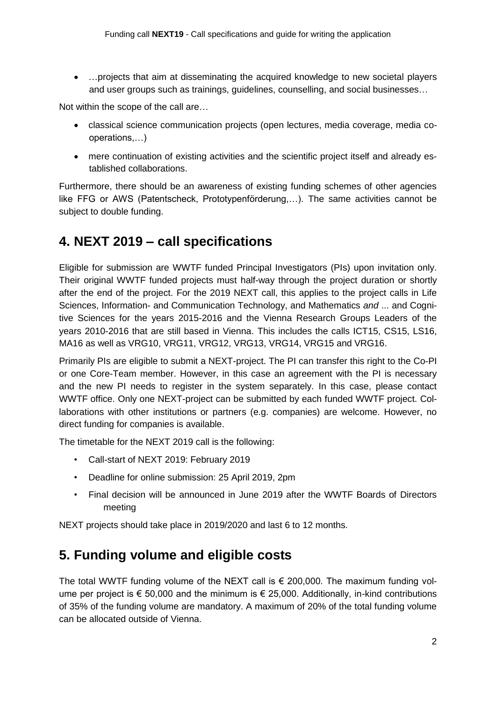…projects that aim at disseminating the acquired knowledge to new societal players and user groups such as trainings, guidelines, counselling, and social businesses…

Not within the scope of the call are…

- classical science communication projects (open lectures, media coverage, media cooperations,…)
- mere continuation of existing activities and the scientific project itself and already established collaborations.

Furthermore, there should be an awareness of existing funding schemes of other agencies like FFG or AWS (Patentscheck, Prototypenförderung,…). The same activities cannot be subject to double funding.

## **4. NEXT 2019 – call specifications**

Eligible for submission are WWTF funded Principal Investigators (PIs) upon invitation only. Their original WWTF funded projects must half-way through the project duration or shortly after the end of the project. For the 2019 NEXT call, this applies to the project calls in Life Sciences, Information- and Communication Technology, and Mathematics *and* ... and Cognitive Sciences for the years 2015-2016 and the Vienna Research Groups Leaders of the years 2010-2016 that are still based in Vienna. This includes the calls ICT15, CS15, LS16, MA16 as well as VRG10, VRG11, VRG12, VRG13, VRG14, VRG15 and VRG16.

Primarily PIs are eligible to submit a NEXT-project. The PI can transfer this right to the Co-PI or one Core-Team member. However, in this case an agreement with the PI is necessary and the new PI needs to register in the system separately. In this case, please contact WWTF office. Only one NEXT-project can be submitted by each funded WWTF project. Collaborations with other institutions or partners (e.g. companies) are welcome. However, no direct funding for companies is available.

The timetable for the NEXT 2019 call is the following:

- Call-start of NEXT 2019: February 2019
- Deadline for online submission: 25 April 2019, 2pm
- Final decision will be announced in June 2019 after the WWTF Boards of Directors meeting

NEXT projects should take place in 2019/2020 and last 6 to 12 months.

## **5. Funding volume and eligible costs**

The total WWTF funding volume of the NEXT call is  $\epsilon$  200,000. The maximum funding volume per project is  $\epsilon$  50,000 and the minimum is  $\epsilon$  25,000. Additionally, in-kind contributions of 35% of the funding volume are mandatory. A maximum of 20% of the total funding volume can be allocated outside of Vienna.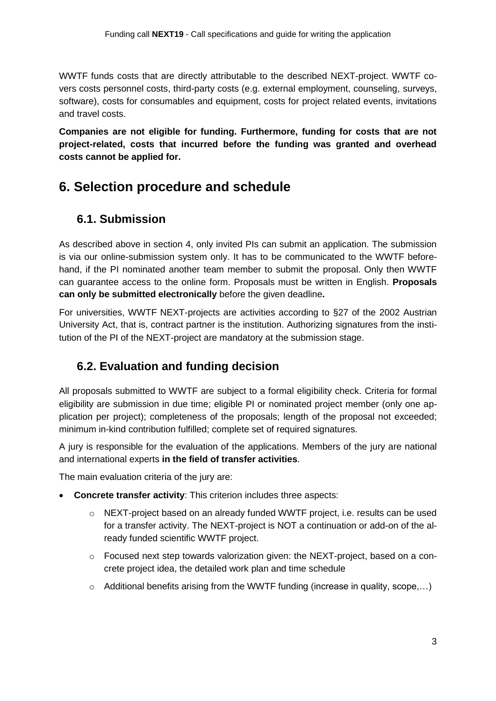WWTF funds costs that are directly attributable to the described NEXT-project. WWTF covers costs personnel costs, third-party costs (e.g. external employment, counseling, surveys, software), costs for consumables and equipment, costs for project related events, invitations and travel costs.

**Companies are not eligible for funding. Furthermore, funding for costs that are not project-related, costs that incurred before the funding was granted and overhead costs cannot be applied for.**

## **6. Selection procedure and schedule**

### **6.1. Submission**

As described above in section 4, only invited PIs can submit an application. The submission is via our online-submission system only. It has to be communicated to the WWTF beforehand, if the PI nominated another team member to submit the proposal. Only then WWTF can guarantee access to the online form. Proposals must be written in English. **Proposals can only be submitted electronically** before the given deadline**.**

For universities, WWTF NEXT-projects are activities according to §27 of the 2002 Austrian University Act, that is, contract partner is the institution. Authorizing signatures from the institution of the PI of the NEXT-project are mandatory at the submission stage.

## **6.2. Evaluation and funding decision**

All proposals submitted to WWTF are subject to a formal eligibility check. Criteria for formal eligibility are submission in due time; eligible PI or nominated project member (only one application per project); completeness of the proposals; length of the proposal not exceeded; minimum in-kind contribution fulfilled; complete set of required signatures.

A jury is responsible for the evaluation of the applications. Members of the jury are national and international experts **in the field of transfer activities**.

The main evaluation criteria of the jury are:

- **Concrete transfer activity**: This criterion includes three aspects:
	- o NEXT-project based on an already funded WWTF project, i.e. results can be used for a transfer activity. The NEXT-project is NOT a continuation or add-on of the already funded scientific WWTF project.
	- $\circ$  Focused next step towards valorization given: the NEXT-project, based on a concrete project idea, the detailed work plan and time schedule
	- $\circ$  Additional benefits arising from the WWTF funding (increase in quality, scope,...)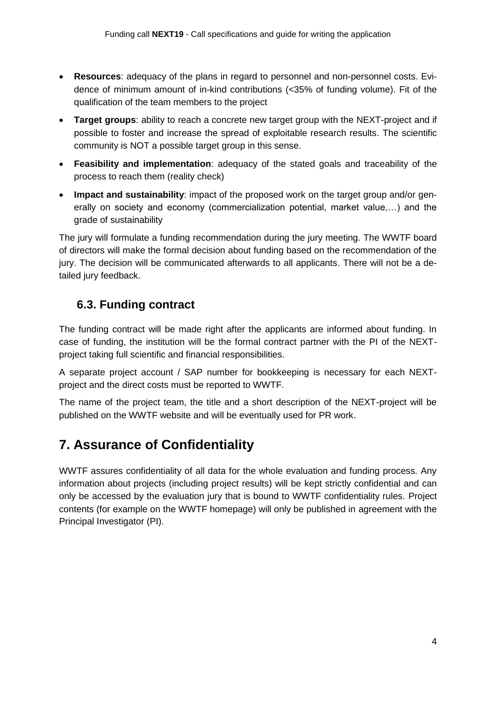- **Resources**: adequacy of the plans in regard to personnel and non-personnel costs. Evidence of minimum amount of in-kind contributions (<35% of funding volume). Fit of the qualification of the team members to the project
- **Target groups**: ability to reach a concrete new target group with the NEXT-project and if possible to foster and increase the spread of exploitable research results. The scientific community is NOT a possible target group in this sense.
- **Feasibility and implementation**: adequacy of the stated goals and traceability of the process to reach them (reality check)
- **Impact and sustainability**: impact of the proposed work on the target group and/or generally on society and economy (commercialization potential, market value,…) and the grade of sustainability

The jury will formulate a funding recommendation during the jury meeting. The WWTF board of directors will make the formal decision about funding based on the recommendation of the jury. The decision will be communicated afterwards to all applicants. There will not be a detailed jury feedback.

### **6.3. Funding contract**

The funding contract will be made right after the applicants are informed about funding. In case of funding, the institution will be the formal contract partner with the PI of the NEXTproject taking full scientific and financial responsibilities.

A separate project account / SAP number for bookkeeping is necessary for each NEXTproject and the direct costs must be reported to WWTF.

The name of the project team, the title and a short description of the NEXT-project will be published on the WWTF website and will be eventually used for PR work.

## **7. Assurance of Confidentiality**

WWTF assures confidentiality of all data for the whole evaluation and funding process. Any information about projects (including project results) will be kept strictly confidential and can only be accessed by the evaluation jury that is bound to WWTF confidentiality rules. Project contents (for example on the WWTF homepage) will only be published in agreement with the Principal Investigator (PI).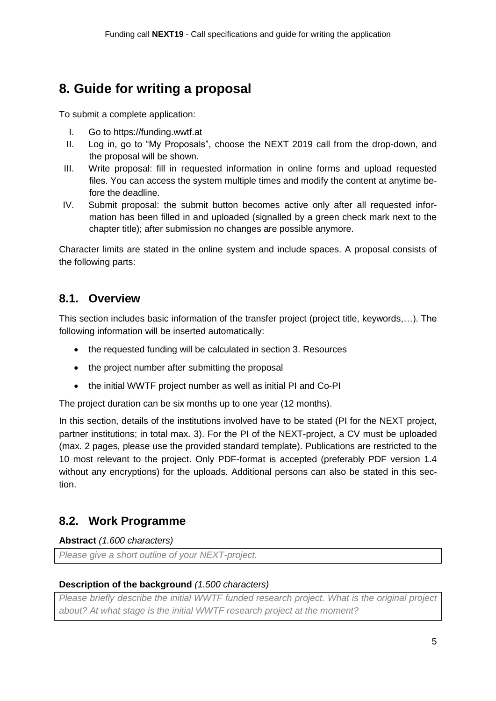## **8. Guide for writing a proposal**

To submit a complete application:

- I. Go to https://funding.wwtf.at
- II. Log in, go to "My Proposals", choose the NEXT 2019 call from the drop-down, and the proposal will be shown.
- III. Write proposal: fill in requested information in online forms and upload requested files. You can access the system multiple times and modify the content at anytime before the deadline.
- IV. Submit proposal: the submit button becomes active only after all requested information has been filled in and uploaded (signalled by a green check mark next to the chapter title); after submission no changes are possible anymore.

Character limits are stated in the online system and include spaces. A proposal consists of the following parts:

### **8.1. Overview**

This section includes basic information of the transfer project (project title, keywords,…). The following information will be inserted automatically:

- the requested funding will be calculated in section 3. Resources
- the project number after submitting the proposal
- the initial WWTF project number as well as initial PI and Co-PI

The project duration can be six months up to one year (12 months).

In this section, details of the institutions involved have to be stated (PI for the NEXT project, partner institutions; in total max. 3). For the PI of the NEXT-project, a CV must be uploaded (max. 2 pages, please use the provided standard template). Publications are restricted to the 10 most relevant to the project. Only PDF-format is accepted (preferably PDF version 1.4 without any encryptions) for the uploads. Additional persons can also be stated in this section.

### **8.2. Work Programme**

### **Abstract** *(1.600 characters)*

*Please give a short outline of your NEXT-project.*

### **Description of the background** *(1.500 characters)*

*Please briefly describe the initial WWTF funded research project. What is the original project about? At what stage is the initial WWTF research project at the moment?*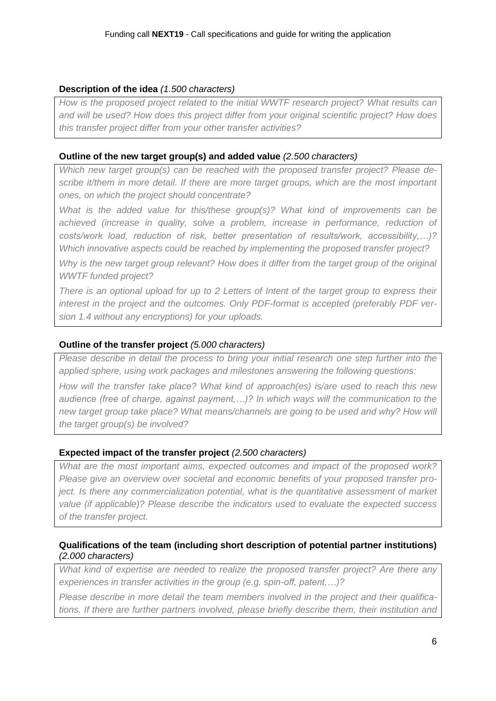#### **Description of the idea** *(1.500 characters)*

*How is the proposed project related to the initial WWTF research project? What results can and will be used? How does this project differ from your original scientific project? How does this transfer project differ from your other transfer activities?*

#### **Outline of the new target group(s) and added value** *(2.500 characters)*

*Which new target group(s) can be reached with the proposed transfer project? Please describe it/them in more detail. If there are more target groups, which are the most important ones, on which the project should concentrate?*

*What is the added value for this/these group(s)? What kind of improvements can be achieved (increase in quality, solve a problem, increase in performance, reduction of costs/work load, reduction of risk, better presentation of results/work, accessibility,…)? Which innovative aspects could be reached by implementing the proposed transfer project?*

*Why is the new target group relevant? How does it differ from the target group of the original WWTF funded project?*

*There is an optional upload for up to 2 Letters of Intent of the target group to express their interest in the project and the outcomes. Only PDF-format is accepted (preferably PDF version 1.4 without any encryptions) for your uploads.*

#### **Outline of the transfer project** *(5.000 characters)*

*Please describe in detail the process to bring your initial research one step further into the applied sphere, using work packages and milestones answering the following questions:*

*How will the transfer take place? What kind of approach(es) is/are used to reach this new audience (free of charge, against payment,…)? In which ways will the communication to the new target group take place? What means/channels are going to be used and why? How will the target group(s) be involved?*

#### **Expected impact of the transfer project** *(2.500 characters)*

*What are the most important aims, expected outcomes and impact of the proposed work? Please give an overview over societal and economic benefits of your proposed transfer project. Is there any commercialization potential, what is the quantitative assessment of market value (if applicable)? Please describe the indicators used to evaluate the expected success of the transfer project.*

#### **Qualifications of the team (including short description of potential partner institutions)** *(2.000 characters)*

*What kind of expertise are needed to realize the proposed transfer project? Are there any experiences in transfer activities in the group (e.g. spin-off, patent,…)?*

*Please describe in more detail the team members involved in the project and their qualifications. If there are further partners involved, please briefly describe them, their institution and*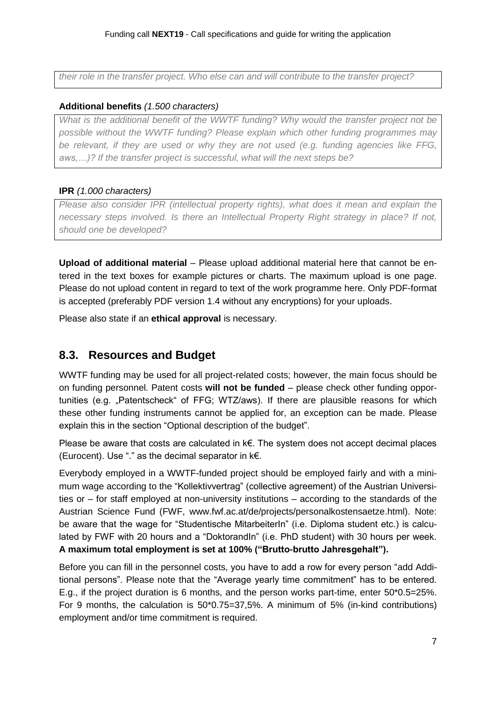*their role in the transfer project. Who else can and will contribute to the transfer project?*

#### **Additional benefits** *(1.500 characters)*

*What is the additional benefit of the WWTF funding? Why would the transfer project not be possible without the WWTF funding? Please explain which other funding programmes may be relevant, if they are used or why they are not used (e.g. funding agencies like FFG, aws,…)? If the transfer project is successful, what will the next steps be?*

### **IPR** *(1.000 characters)*

*Please also consider IPR (intellectual property rights), what does it mean and explain the necessary steps involved. Is there an Intellectual Property Right strategy in place? If not, should one be developed?* 

**Upload of additional material** – Please upload additional material here that cannot be entered in the text boxes for example pictures or charts. The maximum upload is one page. Please do not upload content in regard to text of the work programme here. Only PDF-format is accepted (preferably PDF version 1.4 without any encryptions) for your uploads.

Please also state if an **ethical approval** is necessary.

### **8.3. Resources and Budget**

WWTF funding may be used for all project-related costs; however, the main focus should be on funding personnel. Patent costs **will not be funded** – please check other funding opportunities (e.g. "Patentscheck" of FFG; WTZ/aws). If there are plausible reasons for which these other funding instruments cannot be applied for, an exception can be made. Please explain this in the section "Optional description of the budget".

Please be aware that costs are calculated in k€. The system does not accept decimal places (Eurocent). Use "." as the decimal separator in k€.

Everybody employed in a WWTF-funded project should be employed fairly and with a minimum wage according to the "Kollektivvertrag" (collective agreement) of the Austrian Universities or – for staff employed at non-university institutions – according to the standards of the Austrian Science Fund (FWF, www.fwf.ac.at/de/projects/personalkostensaetze.html). Note: be aware that the wage for "Studentische MitarbeiterIn" (i.e. Diploma student etc.) is calculated by FWF with 20 hours and a "DoktorandIn" (i.e. PhD student) with 30 hours per week. **A maximum total employment is set at 100% ("Brutto-brutto Jahresgehalt").**

Before you can fill in the personnel costs, you have to add a row for every person "add Additional persons". Please note that the "Average yearly time commitment" has to be entered. E.g., if the project duration is 6 months, and the person works part-time, enter 50\*0.5=25%. For 9 months, the calculation is 50\*0.75=37,5%. A minimum of 5% (in-kind contributions) employment and/or time commitment is required.